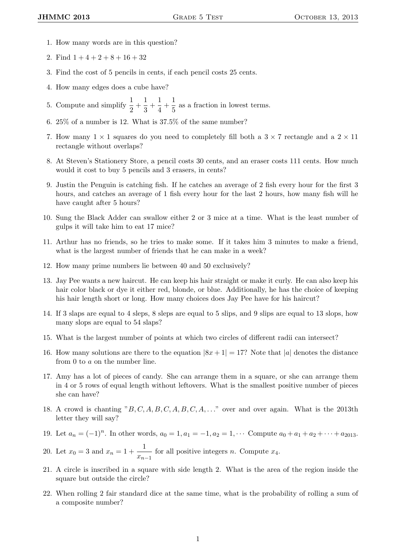- 1. How many words are in this question?
- 2. Find  $1+4+2+8+16+32$
- 3. Find the cost of 5 pencils in cents, if each pencil costs 25 cents.
- 4. How many edges does a cube have?
- 5. Compute and simplify  $\frac{1}{2} + \frac{1}{3}$  $\frac{1}{3} + \frac{1}{4}$  $\frac{1}{4} + \frac{1}{5}$  $\frac{1}{5}$  as a fraction in lowest terms.
- 6. 25% of a number is 12. What is 37.5% of the same number?
- 7. How many  $1 \times 1$  squares do you need to completely fill both a  $3 \times 7$  rectangle and a  $2 \times 11$ rectangle without overlaps?
- 8. At Steven's Stationery Store, a pencil costs 30 cents, and an eraser costs 111 cents. How much would it cost to buy 5 pencils and 3 erasers, in cents?
- 9. Justin the Penguin is catching fish. If he catches an average of 2 fish every hour for the first 3 hours, and catches an average of 1 fish every hour for the last 2 hours, how many fish will he have caught after 5 hours?
- 10. Sung the Black Adder can swallow either 2 or 3 mice at a time. What is the least number of gulps it will take him to eat 17 mice?
- 11. Arthur has no friends, so he tries to make some. If it takes him 3 minutes to make a friend, what is the largest number of friends that he can make in a week?
- 12. How many prime numbers lie between 40 and 50 exclusively?
- 13. Jay Pee wants a new haircut. He can keep his hair straight or make it curly. He can also keep his hair color black or dye it either red, blonde, or blue. Additionally, he has the choice of keeping his hair length short or long. How many choices does Jay Pee have for his haircut?
- 14. If 3 slaps are equal to 4 sleps, 8 sleps are equal to 5 slips, and 9 slips are equal to 13 slops, how many slops are equal to 54 slaps?
- 15. What is the largest number of points at which two circles of different radii can intersect?
- 16. How many solutions are there to the equation  $|8x + 1| = 17$ ? Note that |a| denotes the distance from 0 to a on the number line.
- 17. Amy has a lot of pieces of candy. She can arrange them in a square, or she can arrange them in 4 or 5 rows of equal length without leftovers. What is the smallest positive number of pieces she can have?
- 18. A crowd is chanting " $B, C, A, B, C, A, B, C, A, \ldots$ " over and over again. What is the 2013th letter they will say?
- 19. Let  $a_n = (-1)^n$ . In other words,  $a_0 = 1, a_1 = -1, a_2 = 1, \cdots$  Compute  $a_0 + a_1 + a_2 + \cdots + a_{2013}$ .
- 20. Let  $x_0 = 3$  and  $x_n = 1 + \frac{1}{x_0}$  $\frac{1}{x_{n-1}}$  for all positive integers *n*. Compute  $x_4$ .
- 21. A circle is inscribed in a square with side length 2. What is the area of the region inside the square but outside the circle?
- 22. When rolling 2 fair standard dice at the same time, what is the probability of rolling a sum of a composite number?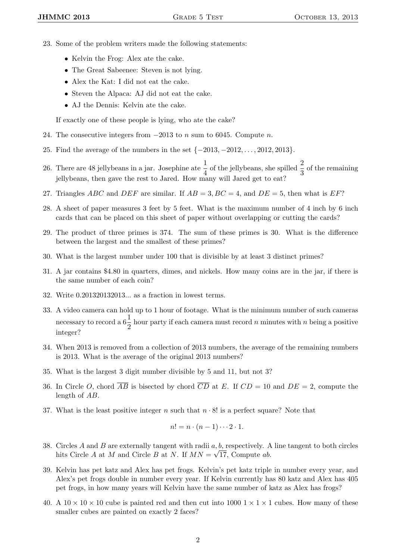- 23. Some of the problem writers made the following statements:
	- Kelvin the Frog: Alex ate the cake.
	- The Great Sabeenee: Steven is not lying.
	- Alex the Kat: I did not eat the cake.
	- Steven the Alpaca: AJ did not eat the cake.
	- AJ the Dennis: Kelvin ate the cake.

If exactly one of these people is lying, who ate the cake?

- 24. The consecutive integers from  $-2013$  to n sum to 6045. Compute n.
- 25. Find the average of the numbers in the set {−2013, −2012, . . . , 2012, 2013}.
- 26. There are 48 jellybeans in a jar. Josephine ate  $\frac{1}{4}$  of the jellybeans, she spilled  $\frac{2}{3}$  of the remaining jellybeans, then gave the rest to Jared. How many will Jared get to eat?
- 27. Triangles ABC and DEF are similar. If  $AB = 3$ ,  $BC = 4$ , and  $DE = 5$ , then what is EF?
- 28. A sheet of paper measures 3 feet by 5 feet. What is the maximum number of 4 inch by 6 inch cards that can be placed on this sheet of paper without overlapping or cutting the cards?
- 29. The product of three primes is 374. The sum of these primes is 30. What is the difference between the largest and the smallest of these primes?
- 30. What is the largest number under 100 that is divisible by at least 3 distinct primes?
- 31. A jar contains \$4.80 in quarters, dimes, and nickels. How many coins are in the jar, if there is the same number of each coin?
- 32. Write 0.201320132013... as a fraction in lowest terms.
- 33. A video camera can hold up to 1 hour of footage. What is the minimum number of such cameras necessary to record a  $6\frac{1}{2}$  hour party if each camera must record *n* minutes with *n* being a positive integer?
- 34. When 2013 is removed from a collection of 2013 numbers, the average of the remaining numbers is 2013. What is the average of the original 2013 numbers?
- 35. What is the largest 3 digit number divisible by 5 and 11, but not 3?
- 36. In Circle O, chord  $\overline{AB}$  is bisected by chord  $\overline{CD}$  at E. If  $CD = 10$  and  $DE = 2$ , compute the length of AB.
- 37. What is the least positive integer n such that  $n \cdot 8!$  is a perfect square? Note that

$$
n! = n \cdot (n-1) \cdots 2 \cdot 1.
$$

- 38. Circles A and B are externally tangent with radii  $a, b$ , respectively. A line tangent to both circles hits Circle A at M and Circle B at N. If  $MN = \sqrt{17}$ , Compute ab.
- 39. Kelvin has pet katz and Alex has pet frogs. Kelvin's pet katz triple in number every year, and Alex's pet frogs double in number every year. If Kelvin currently has 80 katz and Alex has 405 pet frogs, in how many years will Kelvin have the same number of katz as Alex has frogs?
- 40. A  $10 \times 10 \times 10$  cube is painted red and then cut into 1000  $1 \times 1 \times 1$  cubes. How many of these smaller cubes are painted on exactly 2 faces?